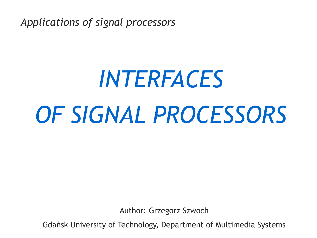*Applications of signal processors*

# *INTERFACES OF SIGNAL PROCESSORS*

Author: Grzegorz Szwoch

Gdańsk University of Technology, Department of Multimedia Systems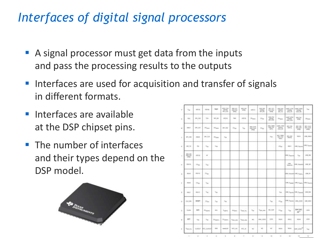# *Interfaces of digital signal processors*

- A signal processor must get data from the inputs and pass the processing results to the outputs
- **If** Interfaces are used for acquisition and transfer of signals in different formats.
- **·** Interfaces are available at the DSP chipset pins.
- The number of interfaces and their types depend on the DSP model.



| ¥        | $V_{\rm MB}$          | <b>IDENTIAL</b>   | 1arrival                   | twee                | <b>SIGLOR</b><br>antay. | <b>SEO DV</b><br>stito" vita:<br>$D\ A$       | 600.09<br>$u$ 45 | <b>GREETE</b>    | DVD AVE<br>200         | <b>ADV: 241</b><br><b>DECKE</b><br><b>Links</b> | arkal tom<br>9893<br>601.100      | MAY ONE<br>cepier<br>100.91       | LANT, KIGS<br>GROSS<br>201,93 | Non-                                   |
|----------|-----------------------|-------------------|----------------------------|---------------------|-------------------------|-----------------------------------------------|------------------|------------------|------------------------|-------------------------------------------------|-----------------------------------|-----------------------------------|-------------------------------|----------------------------------------|
| ٠        | TDO                   | 59, 052           | to                         | 97.93               | IPTIE                   | Tel:                                          | DPT-19           | Phone            | $\sigma\epsilon_{00}$  | MALPM<br>武装                                     | $v_{\rm int}$                     | Leath Artist<br>ordwy<br>and clus | <b>BOX OIL</b><br>one         | <b>Discover</b>                        |
| u        | 386/1                 | 301,051           | Plaza                      | Plant               | are car                 | $\mathcal{D} \mathcal{C}_{\text{M} \text{R}}$ | $v_{\rm{dd}}$    | MA GUE<br>aree   | $O_{\rm NSE}$          | <b>IEE</b> DVD<br>unit.ru<br><b>SPEC</b>        | LINET; EXOL<br>504/3 Kg<br>ant da | 801.05<br>대한민                     | 警盤<br>991                     | 101, 0.4<br><b>UPM</b>                 |
|          | <b>IPLCID</b>         | <b>TAKA</b>       | <b>GR. CLA.</b>            | $16\mu$             | Yan                     |                                               |                  |                  |                        | Total                                           | $\frac{832}{100}$ CM I<br>5491    | 监督                                | Atheni                        | 124, 1913                              |
|          | <b>UPL TX</b>         | <b>114</b>        | $\mathcal{N}_{\text{QCD}}$ | Vail                |                         |                                               |                  |                  |                        |                                                 | <b>CYU</b>                        | <b>BSV1</b>                       | USA, Topica                   | <b>INK</b> , Values                    |
| a.       | 398 元<br><b>UFSI-</b> | DFT12             | $\omega$                   |                     |                         |                                               |                  |                  |                        |                                                 |                                   | <b>USR Values</b>                 | $\tau_{14}$                   | 108.04                                 |
| $\alpha$ | <b>ROVTS</b>          | <b>Page</b>       | $\nu_{\rm{min}}$           |                     |                         |                                               |                  |                  |                        |                                                 |                                   | AZGR.<br><b>Vooring</b>           | 108, Fessore                  | 108,38                                 |
| ٠        | Atbulk.               | REVIE             | $\alpha_{\rm m}$           |                     |                         |                                               |                  |                  |                        |                                                 |                                   | the notice that many              |                               | 1206.91                                |
|          | $200 + 8$             | $\alpha_{\rm in}$ | Vai                        |                     |                         |                                               |                  |                  |                        |                                                 |                                   |                                   |                               | 1978, Fassan 1978, Tages, 1978, Fasses |
|          | <b>HOVT</b>           | <b>AGUVI</b>      | $\rm v_{\rm eff}$          | $\omega_{\rm eff}$  |                         |                                               |                  |                  |                        |                                                 | $\gamma_{\rm MS}$                 | 198, Napan 198, Napan             |                               | USB MA                                 |
| ٠        | 0140,7014             | <b>STOP</b>       | $\alpha_{\rm in}$          | $\omega_{\rm eff}$  | $v_{10}$                |                                               |                  |                  |                        | $u_{\rm AB}$                                    | $\mathcal{O}_{\mathcal{M}}$       |                                   | <b>IR. Fasces: 188 (200)</b>  | (28, 101)                              |
| e        | <b>CLAIR</b>          | 575               | Priguett                   | <b>MSL</b>          | Vyanco                  | 0 Guid                                        | Task, MA         | $\tau_{\rm int}$ | <sup>1</sup> 104, Alan | BO, CAP                                         | $\Box\gamma_{\rm eff}$            | $v_{\rm ini}$                     | 0003207<br>$m^{(1)}$          | LDGs                                   |
| ٠        | <b>SITT</b>           | <b>You</b>        | $\mathcal{V}_{\text{MB}}$  | $D_{\text{[SMEM]}}$ | Player:                 | Yass, Me                                      | Yusu, Ahn        | sc.              | MA,1000                | SERK.                                           | <b>BANS</b>                       | 65/3                              | <b>ND4</b>                    | LDPR                                   |
| ä        | <b>TIGALINA</b>       | ELHOUT            | <b>WIC GLADATE</b>         | 624                 | <b>HAKEUP</b>           | <b>HTC.AU</b>                                 | 100.30           | uc.              | $+$                    | $\infty$                                        | ROH                               | Adres                             | <b>COLLANS</b>                | <b>Yas</b>                             |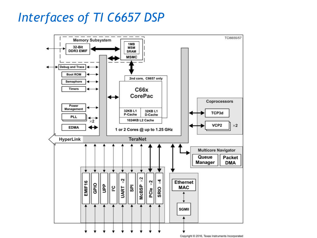# *Interfaces of TI C6657 DSP*

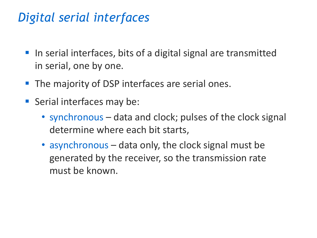# *Digital serial interfaces*

- In serial interfaces, bits of a digital signal are transmitted in serial, one by one.
- The majority of DSP interfaces are serial ones.
- Serial interfaces may be:
	- synchronous data and clock; pulses of the clock signal determine where each bit starts,
	- asynchronous data only, the clock signal must be generated by the receiver, so the transmission rate must be known.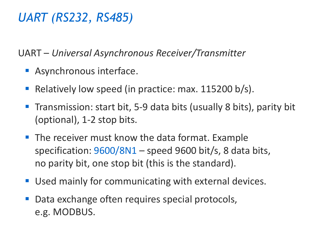# *UART (RS232, RS485)*

UART – *Universal Asynchronous Receiver/Transmitter*

- **EXPALS** Asynchronous interface.
- Relatively low speed (in practice: max. 115200 b/s).
- Transmission: start bit, 5-9 data bits (usually 8 bits), parity bit (optional), 1-2 stop bits.
- The receiver must know the data format. Example specification: 9600/8N1 – speed 9600 bit/s, 8 data bits, no parity bit, one stop bit (this is the standard).
- Used mainly for communicating with external devices.
- Data exchange often requires special protocols, e.g. MODBUS.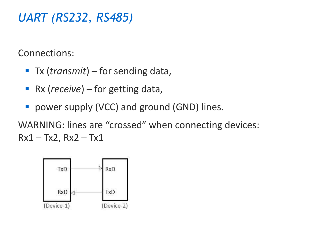## *UART (RS232, RS485)*

Connections:

- Tx (*transmit*) for sending data,
- Rx (*receive*) for getting data,
- power supply (VCC) and ground (GND) lines.

WARNING: lines are "crossed" when connecting devices:  $Rx1 - Tx2, Rx2 - Tx1$ 

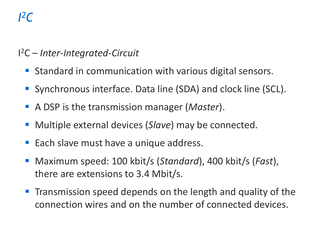# *I 2C*

#### I <sup>2</sup>C – *Inter-Integrated-Circuit*

- Standard in communication with various digital sensors.
- Synchronous interface. Data line (SDA) and clock line (SCL).
- A DSP is the transmission manager (*Master*).
- Multiple external devices (*Slave*) may be connected.
- Each slave must have a unique address.
- Maximum speed: 100 kbit/s (*Standard*), 400 kbit/s (*Fast*), there are extensions to 3.4 Mbit/s.
- **The Transmission speed depends on the length and quality of the** connection wires and on the number of connected devices.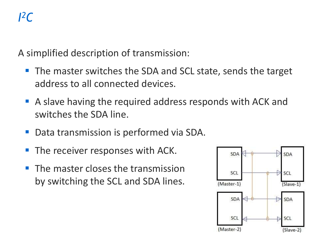A simplified description of transmission:

- The master switches the SDA and SCL state, sends the target address to all connected devices.
- A slave having the required address responds with ACK and switches the SDA line.
- Data transmission is performed via SDA.
- The receiver responses with ACK.
- The master closes the transmission by switching the SCL and SDA lines.

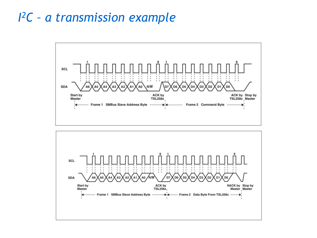### *I <sup>2</sup>C – a transmission example*



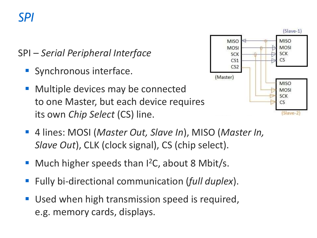# *SPI*

SPI – *Serial Peripheral Interface*

- **E** Synchronous interface.
- Multiple devices may be connected to one Master, but each device requires its own *Chip Select* (CS) line.



- 4 lines: MOSI (*Master Out, Slave In*), MISO (*Master In, Slave Out*), CLK (clock signal), CS (chip select).
- Much higher speeds than  $I^2C$ , about 8 Mbit/s.
- Fully bi-directional communication (*full duplex*).
- Used when high transmission speed is required, e.g. memory cards, displays.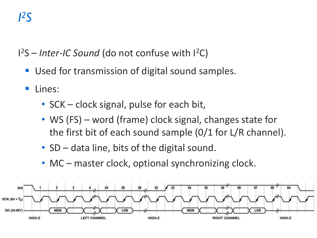# *I 2S*

1<sup>2</sup>S – Inter-IC Sound (do not confuse with 1<sup>2</sup>C)

- Used for transmission of digital sound samples.
- Lines:
	- SCK clock signal, pulse for each bit,
	- WS (FS) word (frame) clock signal, changes state for the first bit of each sound sample (0/1 for L/R channel).
	- SD data line, bits of the digital sound.
	- MC master clock, optional synchronizing clock.

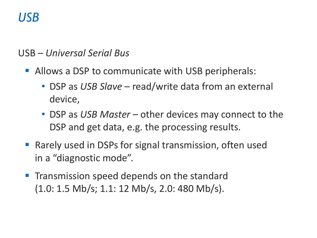## *USB*

#### USB – *Universal Serial Bus*

- **EXTERNITHE Allows a DSP to communicate with USB peripherals:** 
	- DSP as *USB Slave* read/write data from an external device,
	- DSP as *USB Master* other devices may connect to the DSP and get data, e.g. the processing results.
- Rarely used in DSPs for signal transmission, often used in a "diagnostic mode".
- **The Transmission speed depends on the standard** (1.0: 1.5 Mb/s; 1.1: 12 Mb/s, 2.0: 480 Mb/s).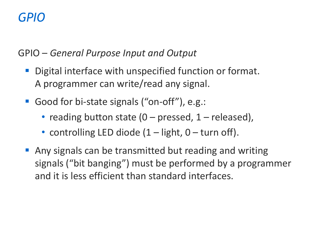# *GPIO*

GPIO – *General Purpose Input and Output*

- Digital interface with unspecified function or format. A programmer can write/read any signal.
- Good for bi-state signals ("on-off"), e.g.:
	- reading button state  $(0 -$  pressed,  $1 -$  released),
	- controlling LED diode  $(1 -$  light, 0 turn off).
- Any signals can be transmitted but reading and writing signals ("bit banging") must be performed by a programmer and it is less efficient than standard interfaces.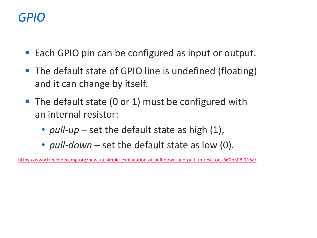## *GPIO*

- Each GPIO pin can be configured as input or output.
- The default state of GPIO line is undefined (floating) and it can change by itself.
- The default state (0 or 1) must be configured with an internal resistor:
	- *pull-up* set the default state as high (1),
	- *pull-down* set the default state as low (0).

<https://www.freecodecamp.org/news/a-simple-explanation-of-pull-down-and-pull-up-resistors-660b308f116a/>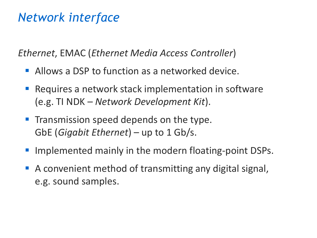## *Network interface*

*Ethernet*, EMAC (*Ethernet Media Access Controller*)

- Allows a DSP to function as a networked device.
- Requires a network stack implementation in software (e.g. TI NDK – *Network Development Kit*).
- **The Transmission speed depends on the type.** GbE (*Gigabit Ethernet*) – up to 1 Gb/s.
- Implemented mainly in the modern floating-point DSPs.
- A convenient method of transmitting any digital signal, e.g. sound samples.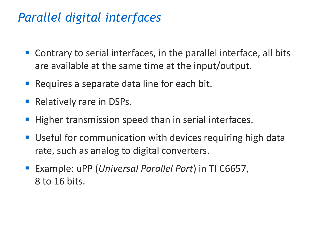## *Parallel digital interfaces*

- Contrary to serial interfaces, in the parallel interface, all bits are available at the same time at the input/output.
- Requires a separate data line for each bit.
- Relatively rare in DSPs.
- Higher transmission speed than in serial interfaces.
- Useful for communication with devices requiring high data rate, such as analog to digital converters.
- Example: uPP (*Universal Parallel Port*) in TI C6657, 8 to 16 bits.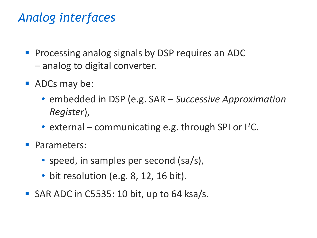# *Analog interfaces*

- Processing analog signals by DSP requires an ADC – analog to digital converter.
- ADCs may be:
	- embedded in DSP (e.g. SAR *Successive Approximation Register*),
	- external communicating e.g. through SPI or  $l^2C$ .
- Parameters:
	- speed, in samples per second (sa/s),
	- bit resolution (e.g. 8, 12, 16 bit).
- $\blacksquare$  SAR ADC in C5535: 10 bit, up to 64 ksa/s.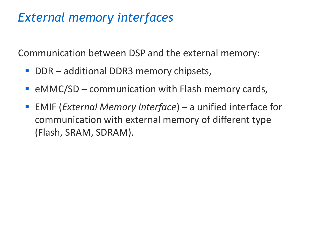## *External memory interfaces*

Communication between DSP and the external memory:

- DDR additional DDR3 memory chipsets,
- $\blacksquare$  eMMC/SD communication with Flash memory cards,
- **EMIF (***External Memory Interface***)** a unified interface for communication with external memory of different type (Flash, SRAM, SDRAM).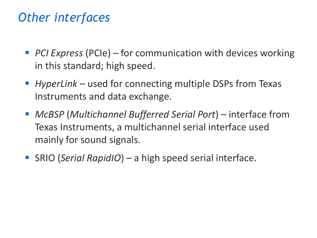## *Other interfaces*

- PCI Express (PCIe) for communication with devices working in this standard; high speed.
- *HyperLink* used for connecting multiple DSPs from Texas Instruments and data exchange.
- *McBSP* (*Multichannel Bufferred Serial Port*) interface from Texas Instruments, a multichannel serial interface used mainly for sound signals.
- SRIO (Serial RapidIO) a high speed serial interface.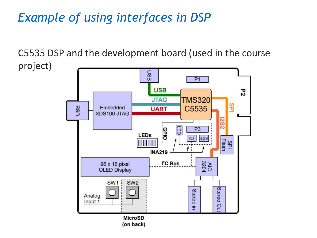# *Example of using interfaces in DSP*

C5535 DSP and the development board (used in the course project)